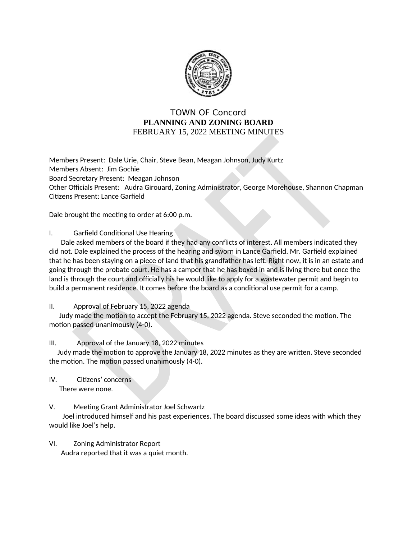

## **TOWN OF Concord** PLANNING AND ZONING BOARD FEBRUARY 15, 2022 MEETING MINUTES

Members Present: Dale Urie, Chair, Steve Bean, Meagan Johnson, Judy Kurtz Members Absent: Jim Gochie Board Secretary Present: Meagan Johnson Other Officials Present: Audra Girouard, Zoning Administrator, George Morehouse, Shannon Chapman Citizens Present: Lance Garfield

Dale brought the meeting to order at 6:00 p.m.

 $\mathbf{L}$ Garfield Conditional Use Hearing

Dale asked members of the board if they had any conflicts of interest. All members indicated they did not. Dale explained the process of the hearing and sworn in Lance Garfield. Mr. Garfield explained that he has been staying on a piece of land that his grandfather has left. Right now, it is in an estate and going through the probate court. He has a camper that he has boxed in and is living there but once the land is through the court and officially his he would like to apply for a wastewater permit and begin to build a permanent residence. It comes before the board as a conditional use permit for a camp.

## $II.$ Approval of February 15, 2022 agenda

Judy made the motion to accept the February 15, 2022 agenda. Steve seconded the motion. The motion passed unanimously (4-0).

## $III.$ Approval of the January 18, 2022 minutes

Judy made the motion to approve the January 18, 2022 minutes as they are written. Steve seconded the motion. The motion passed unanimously (4-0).

IV. Citizens' concerns There were none.

## V. Meeting Grant Administrator Joel Schwartz

Joel introduced himself and his past experiences. The board discussed some ideas with which they would like Joel's help.

VI. **Zoning Administrator Report** Audra reported that it was a quiet month.